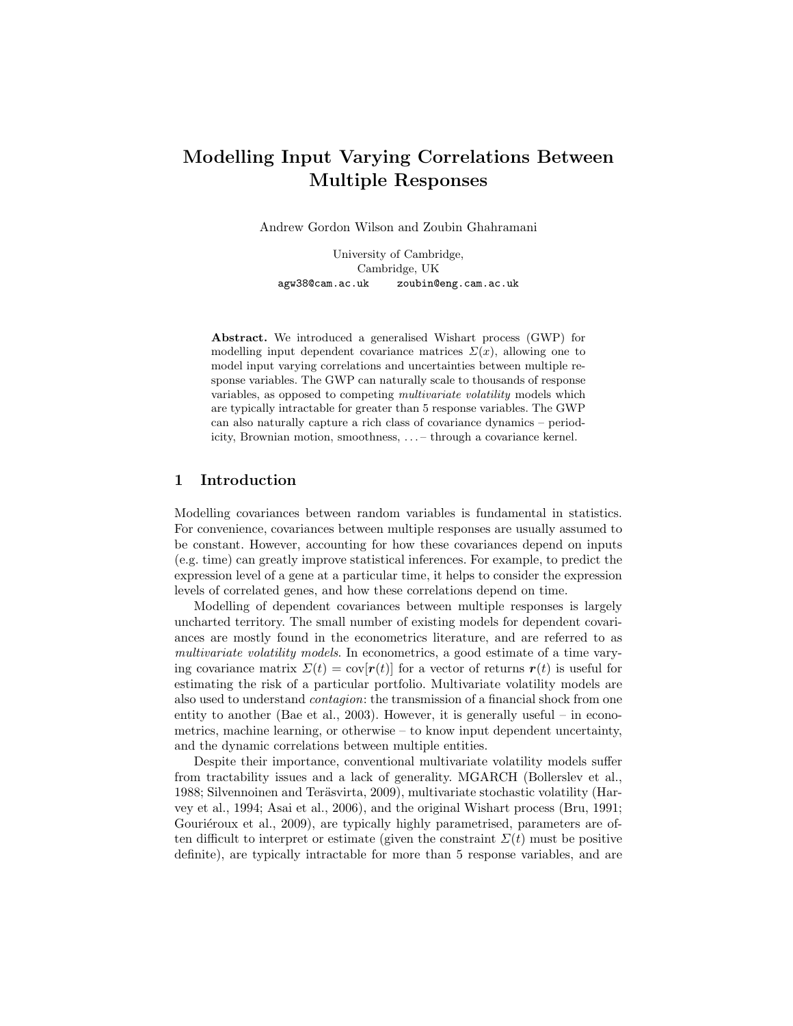# Modelling Input Varying Correlations Between Multiple Responses

Andrew Gordon Wilson and Zoubin Ghahramani

University of Cambridge, Cambridge, UK agw38@cam.ac.uk zoubin@eng.cam.ac.uk

Abstract. We introduced a generalised Wishart process (GWP) for modelling input dependent covariance matrices  $\Sigma(x)$ , allowing one to model input varying correlations and uncertainties between multiple response variables. The GWP can naturally scale to thousands of response variables, as opposed to competing multivariate volatility models which are typically intractable for greater than 5 response variables. The GWP can also naturally capture a rich class of covariance dynamics – periodicity, Brownian motion, smoothness, . . . – through a covariance kernel.

### 1 Introduction

Modelling covariances between random variables is fundamental in statistics. For convenience, covariances between multiple responses are usually assumed to be constant. However, accounting for how these covariances depend on inputs (e.g. time) can greatly improve statistical inferences. For example, to predict the expression level of a gene at a particular time, it helps to consider the expression levels of correlated genes, and how these correlations depend on time.

Modelling of dependent covariances between multiple responses is largely uncharted territory. The small number of existing models for dependent covariances are mostly found in the econometrics literature, and are referred to as multivariate volatility models. In econometrics, a good estimate of a time varying covariance matrix  $\Sigma(t) = \text{cov}[r(t)]$  for a vector of returns  $r(t)$  is useful for estimating the risk of a particular portfolio. Multivariate volatility models are also used to understand contagion: the transmission of a financial shock from one entity to another (Bae et al., 2003). However, it is generally useful – in econometrics, machine learning, or otherwise  $-$  to know input dependent uncertainty, and the dynamic correlations between multiple entities.

Despite their importance, conventional multivariate volatility models suffer from tractability issues and a lack of generality. MGARCH (Bollerslev et al., 1988; Silvennoinen and Teräsvirta, 2009), multivariate stochastic volatility (Harvey et al., 1994; Asai et al., 2006), and the original Wishart process (Bru, 1991; Gouriéroux et al., 2009), are typically highly parametrised, parameters are often difficult to interpret or estimate (given the constraint  $\Sigma(t)$  must be positive definite), are typically intractable for more than 5 response variables, and are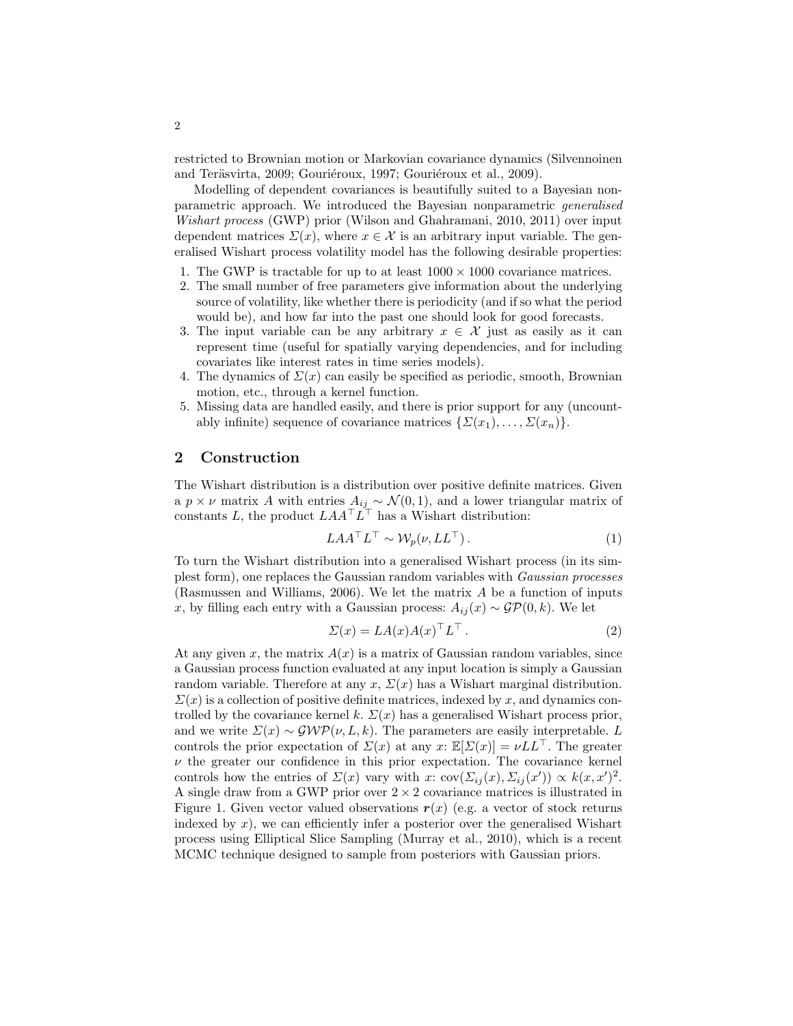restricted to Brownian motion or Markovian covariance dynamics (Silvennoinen and Teräsvirta, 2009; Gouriéroux, 1997; Gouriéroux et al., 2009).

Modelling of dependent covariances is beautifully suited to a Bayesian nonparametric approach. We introduced the Bayesian nonparametric generalised Wishart process (GWP) prior (Wilson and Ghahramani, 2010, 2011) over input dependent matrices  $\Sigma(x)$ , where  $x \in \mathcal{X}$  is an arbitrary input variable. The generalised Wishart process volatility model has the following desirable properties:

- 1. The GWP is tractable for up to at least  $1000 \times 1000$  covariance matrices.
- 2. The small number of free parameters give information about the underlying source of volatility, like whether there is periodicity (and if so what the period would be), and how far into the past one should look for good forecasts.
- 3. The input variable can be any arbitrary  $x \in \mathcal{X}$  just as easily as it can represent time (useful for spatially varying dependencies, and for including covariates like interest rates in time series models).
- 4. The dynamics of  $\Sigma(x)$  can easily be specified as periodic, smooth, Brownian motion, etc., through a kernel function.
- 5. Missing data are handled easily, and there is prior support for any (uncountably infinite) sequence of covariance matrices  $\{\Sigma(x_1), \ldots, \Sigma(x_n)\}.$

## 2 Construction

The Wishart distribution is a distribution over positive definite matrices. Given a  $p \times \nu$  matrix A with entries  $A_{ij} \sim \mathcal{N}(0, 1)$ , and a lower triangular matrix of constants L, the product  $LAA^{\top}L^{\top}$  has a Wishart distribution:

$$
LAA^{\top}L^{\top} \sim \mathcal{W}_p(\nu, LL^{\top}). \tag{1}
$$

To turn the Wishart distribution into a generalised Wishart process (in its simplest form), one replaces the Gaussian random variables with Gaussian processes (Rasmussen and Williams, 2006). We let the matrix A be a function of inputs x, by filling each entry with a Gaussian process:  $A_{ij}(x) \sim \mathcal{GP}(0, k)$ . We let

$$
\Sigma(x) = LA(x)A(x)^{\top}L^{\top}.
$$
 (2)

At any given x, the matrix  $A(x)$  is a matrix of Gaussian random variables, since a Gaussian process function evaluated at any input location is simply a Gaussian random variable. Therefore at any  $x, \Sigma(x)$  has a Wishart marginal distribution.  $\Sigma(x)$  is a collection of positive definite matrices, indexed by x, and dynamics controlled by the covariance kernel k.  $\Sigma(x)$  has a generalised Wishart process prior, and we write  $\Sigma(x) \sim \mathcal{GWP}(\nu, L, k)$ . The parameters are easily interpretable. L controls the prior expectation of  $\Sigma(x)$  at any  $x: \mathbb{E}[\Sigma(x)] = \nu L L^{\top}$ . The greater  $\nu$  the greater our confidence in this prior expectation. The covariance kernel controls how the entries of  $\Sigma(x)$  vary with x:  $cov(\Sigma_{ij}(x), \Sigma_{ij}(x')) \propto k(x, x')^2$ . A single draw from a GWP prior over  $2 \times 2$  covariance matrices is illustrated in Figure 1. Given vector valued observations  $r(x)$  (e.g. a vector of stock returns indexed by  $x$ ), we can efficiently infer a posterior over the generalised Wishart process using Elliptical Slice Sampling (Murray et al., 2010), which is a recent MCMC technique designed to sample from posteriors with Gaussian priors.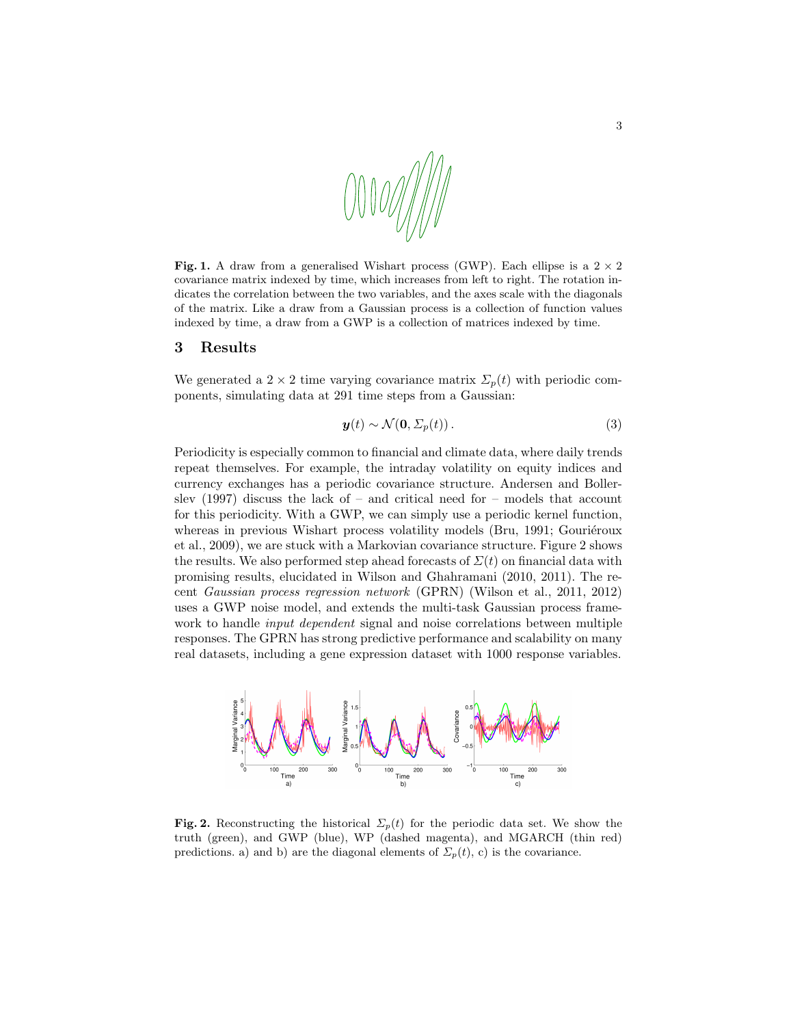

Fig. 1. A draw from a generalised Wishart process (GWP). Each ellipse is a  $2 \times 2$ covariance matrix indexed by time, which increases from left to right. The rotation indicates the correlation between the two variables, and the axes scale with the diagonals of the matrix. Like a draw from a Gaussian process is a collection of function values indexed by time, a draw from a GWP is a collection of matrices indexed by time.

#### 3 Results

We generated a 2 × 2 time varying covariance matrix  $\Sigma_p(t)$  with periodic components, simulating data at 291 time steps from a Gaussian:

$$
\mathbf{y}(t) \sim \mathcal{N}(\mathbf{0}, \Sigma_p(t)). \tag{3}
$$

Periodicity is especially common to financial and climate data, where daily trends repeat themselves. For example, the intraday volatility on equity indices and currency exchanges has a periodic covariance structure. Andersen and Bollerslev  $(1997)$  discuss the lack of – and critical need for – models that account for this periodicity. With a GWP, we can simply use a periodic kernel function, whereas in previous Wishart process volatility models (Bru, 1991; Gouriéroux et al., 2009), we are stuck with a Markovian covariance structure. Figure 2 shows the results. We also performed step ahead forecasts of  $\Sigma(t)$  on financial data with promising results, elucidated in Wilson and Ghahramani (2010, 2011). The recent Gaussian process regression network (GPRN) (Wilson et al., 2011, 2012) uses a GWP noise model, and extends the multi-task Gaussian process framework to handle *input dependent* signal and noise correlations between multiple responses. The GPRN has strong predictive performance and scalability on many real datasets, including a gene expression dataset with 1000 response variables.



Fig. 2. Reconstructing the historical  $\Sigma_p(t)$  for the periodic data set. We show the truth (green), and GWP (blue), WP (dashed magenta), and MGARCH (thin red) predictions. a) and b) are the diagonal elements of  $\Sigma_p(t)$ , c) is the covariance.